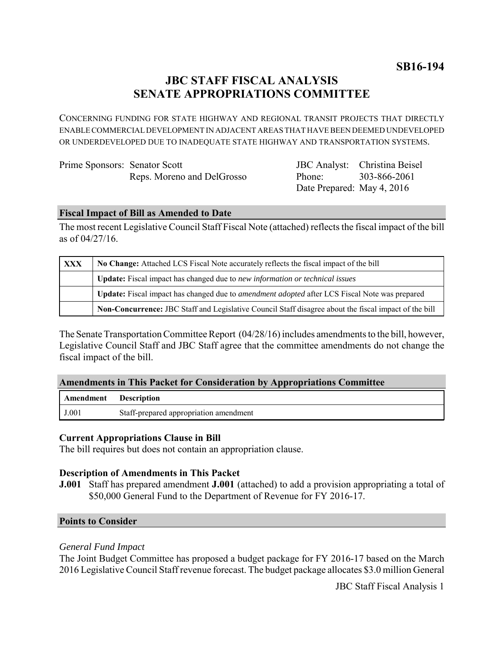**SB16-194**

## **JBC STAFF FISCAL ANALYSIS SENATE APPROPRIATIONS COMMITTEE**

CONCERNING FUNDING FOR STATE HIGHWAY AND REGIONAL TRANSIT PROJECTS THAT DIRECTLY ENABLE COMMERCIAL DEVELOPMENT IN ADJACENT AREAS THAT HAVE BEEN DEEMED UNDEVELOPED OR UNDERDEVELOPED DUE TO INADEQUATE STATE HIGHWAY AND TRANSPORTATION SYSTEMS.

| Prime Sponsors: Senator Scott |                            |
|-------------------------------|----------------------------|
|                               | Reps. Moreno and DelGrosso |

JBC Analyst: Christina Beisel Phone: Date Prepared: May 4, 2016 303-866-2061

### **Fiscal Impact of Bill as Amended to Date**

The most recent Legislative Council Staff Fiscal Note (attached) reflects the fiscal impact of the bill as of 04/27/16.

| <b>XXX</b> | No Change: Attached LCS Fiscal Note accurately reflects the fiscal impact of the bill                       |  |
|------------|-------------------------------------------------------------------------------------------------------------|--|
|            | Update: Fiscal impact has changed due to new information or technical issues                                |  |
|            | <b>Update:</b> Fiscal impact has changed due to <i>amendment adopted</i> after LCS Fiscal Note was prepared |  |
|            | Non-Concurrence: JBC Staff and Legislative Council Staff disagree about the fiscal impact of the bill       |  |

The Senate Transportation Committee Report (04/28/16) includes amendments to the bill, however, Legislative Council Staff and JBC Staff agree that the committee amendments do not change the fiscal impact of the bill.

#### **Amendments in This Packet for Consideration by Appropriations Committee**

| <b>Amendment</b> Description |                                        |
|------------------------------|----------------------------------------|
| J.001                        | Staff-prepared appropriation amendment |

#### **Current Appropriations Clause in Bill**

The bill requires but does not contain an appropriation clause.

#### **Description of Amendments in This Packet**

**J.001** Staff has prepared amendment **J.001** (attached) to add a provision appropriating a total of \$50,000 General Fund to the Department of Revenue for FY 2016-17.

#### **Points to Consider**

#### *General Fund Impact*

The Joint Budget Committee has proposed a budget package for FY 2016-17 based on the March 2016 Legislative Council Staff revenue forecast. The budget package allocates \$3.0 million General

JBC Staff Fiscal Analysis 1